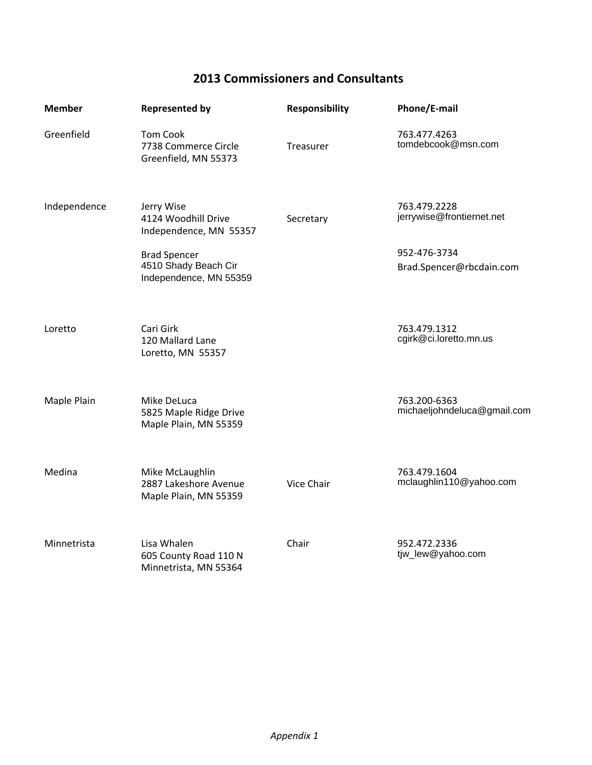## **2013 Commissioners and Consultants**

| <b>Member</b> | <b>Represented by</b>                                                                                                                | <b>Responsibility</b> | Phone/E-mail                                                                          |
|---------------|--------------------------------------------------------------------------------------------------------------------------------------|-----------------------|---------------------------------------------------------------------------------------|
| Greenfield    | <b>Tom Cook</b><br>7738 Commerce Circle<br>Greenfield, MN 55373                                                                      | Treasurer             | 763.477.4263<br>tomdebcook@msn.com                                                    |
| Independence  | Jerry Wise<br>4124 Woodhill Drive<br>Independence, MN 55357<br><b>Brad Spencer</b><br>4510 Shady Beach Cir<br>Independence, MN 55359 | Secretary             | 763.479.2228<br>jerrywise@frontiernet.net<br>952-476-3734<br>Brad.Spencer@rbcdain.com |
| Loretto       | Cari Girk<br>120 Mallard Lane<br>Loretto, MN 55357                                                                                   |                       | 763.479.1312<br>cgirk@ci.loretto.mn.us                                                |
| Maple Plain   | Mike DeLuca<br>5825 Maple Ridge Drive<br>Maple Plain, MN 55359                                                                       |                       | 763.200-6363<br>michaeljohndeluca@gmail.com                                           |
| Medina        | Mike McLaughlin<br>2887 Lakeshore Avenue<br>Maple Plain, MN 55359                                                                    | Vice Chair            | 763.479.1604<br>mclaughlin110@yahoo.com                                               |
| Minnetrista   | Lisa Whalen<br>605 County Road 110 N<br>Minnetrista, MN 55364                                                                        | Chair                 | 952.472.2336<br>tjw_lew@yahoo.com                                                     |